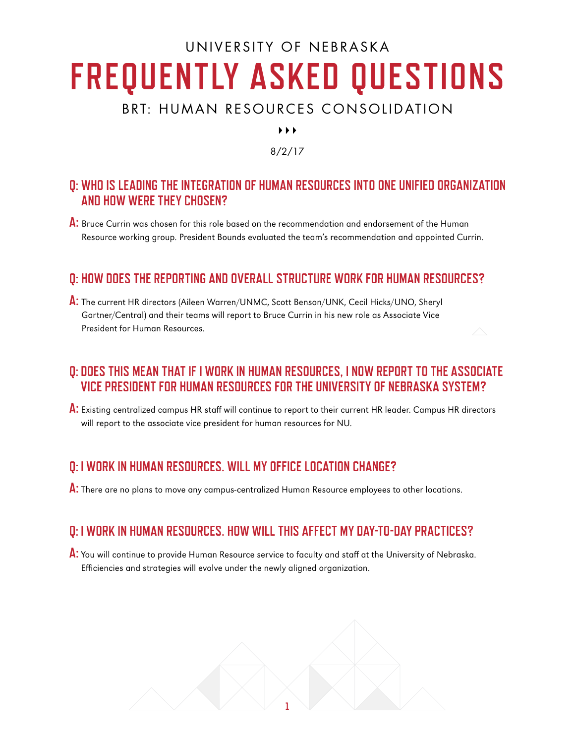# UNIVERSITY OF NEBRASKA **FREQUENTLY ASKED QUESTIONS**

# BRT: HUMAN RESOURCES CONSOLIDATION

 $\blacktriangleright$   $\blacktriangleright$   $\blacktriangleright$ 

8/2/17

#### **Q: WHO IS LEADING THE INTEGRATION OF HUMAN RESOURCES INTO ONE UNIFIED ORGANIZATION AND HOW WERE THEY CHOSEN?**

**A:** Bruce Currin was chosen for this role based on the recommendation and endorsement of the Human Resource working group. President Bounds evaluated the team's recommendation and appointed Currin.

#### **Q: HOW DOES THE REPORTING AND OVERALL STRUCTURE WORK FOR HUMAN RESOURCES?**

**A:** The current HR directors (Aileen Warren/UNMC, Scott Benson/UNK, Cecil Hicks/UNO, Sheryl Gartner/Central) and their teams will report to Bruce Currin in his new role as Associate Vice President for Human Resources.

#### **Q: DOES THIS MEAN THAT IF I WORK IN HUMAN RESOURCES, I NOW REPORT TO THE ASSOCIATE VICE PRESIDENT FOR HUMAN RESOURCES FOR THE UNIVERSITY OF NEBRASKA SYSTEM?**

**A:** Existing centralized campus HR staff will continue to report to their current HR leader. Campus HR directors will report to the associate vice president for human resources for NU.

#### **Q: I WORK IN HUMAN RESOURCES. WILL MY OFFICE LOCATION CHANGE?**

**A:** There are no plans to move any campus-centralized Human Resource employees to other locations.

# **Q: I WORK IN HUMAN RESOURCES. HOW WILL THIS AFFECT MY DAY-TO-DAY PRACTICES?**

**A:** You will continue to provide Human Resource service to faculty and staff at the University of Nebraska. Efficiencies and strategies will evolve under the newly aligned organization.